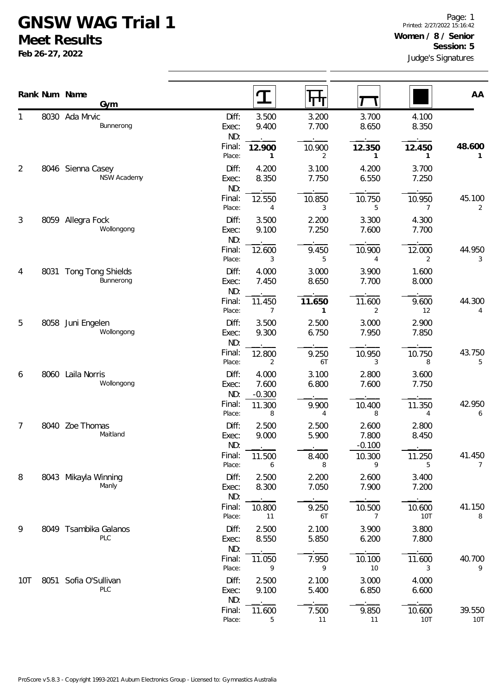## **GNSW WAG Trial 1**

**Meet Results**

**Feb 26-27, 2022**

|                |      | Rank Num Name                    |                  | $\mathbf T$    | पाप                     |                |                | AA                       |
|----------------|------|----------------------------------|------------------|----------------|-------------------------|----------------|----------------|--------------------------|
|                |      | Gym                              |                  |                |                         |                |                |                          |
| 1              |      | 8030 Ada Mrvic<br>Bunnerong      | Diff:<br>Exec:   | 3.500<br>9.400 | 3.200<br>7.700          | 3.700<br>8.650 | 4.100<br>8.350 |                          |
|                |      |                                  | ND:              |                |                         |                |                |                          |
|                |      |                                  | Final:           | 12.900         | 10.900                  | 12.350         | 12.450         | 48.600                   |
|                |      |                                  | Place:           | 1              | $\overline{2}$          | $\mathbf{1}$   | 1              | 1                        |
| 2              |      | 8046 Sienna Casey<br>NSW Academy | Diff:<br>Exec:   | 4.200<br>8.350 | 3.100<br>7.750          | 4.200<br>6.550 | 3.700<br>7.250 |                          |
|                |      |                                  | ND:              |                |                         |                |                |                          |
|                |      |                                  | Final:           | 12.550         | 10.850                  | 10.750         | 10.950         | 45.100                   |
|                |      |                                  | Place:           | $\overline{4}$ | 3                       | 5              | 7              | 2                        |
| $\mathfrak{Z}$ |      | 8059 Allegra Fock                | Diff:            | 3.500          | 2.200                   | 3.300          | 4.300          |                          |
|                |      | Wollongong                       | Exec:<br>ND:     | 9.100          | 7.250                   | 7.600          | 7.700          |                          |
|                |      |                                  | Final:           | 12.600         | 9.450                   | 10.900         | 12.000         | 44.950                   |
|                |      |                                  | Place:           | 3              | 5                       | 4              | 2              | 3                        |
| 4              | 8031 | <b>Tong Tong Shields</b>         | Diff:            | 4.000          | 3.000                   | 3.900          | 1.600          |                          |
|                |      | Bunnerong                        | Exec:            | 7.450          | 8.650                   | 7.700          | 8.000          |                          |
|                |      |                                  | ND:<br>Final:    | 11.450         | 11.650                  | 11.600         | 9.600          | 44.300                   |
|                |      |                                  | Place:           | 7              | $\mathbf{1}$            | 2              | 12             | 4                        |
| 5              | 8058 | Juni Engelen                     | Diff:            | 3.500          | 2.500                   | 3.000          | 2.900          |                          |
|                |      | Wollongong                       | Exec:            | 9.300          | 6.750                   | 7.950          | 7.850          |                          |
|                |      |                                  | ND:<br>Final:    |                |                         |                |                | 43.750                   |
|                |      |                                  | Place:           | 12.800<br>2    | 9.250<br>6T             | 10.950<br>3    | 10.750<br>8    | 5                        |
| 6              |      | 8060 Laila Norris                | Diff:            | 4.000          | 3.100                   | 2.800          | 3.600          |                          |
|                |      | Wollongong                       | Exec:            | 7.600          | 6.800                   | 7.600          | 7.750          |                          |
|                |      |                                  | ND:              | $-0.300$       |                         |                |                |                          |
|                |      |                                  | Final:<br>Place: | 11.300<br>8    | 9.900<br>$\overline{4}$ | 10.400<br>8    | 11.350<br>4    | 42.950<br>6              |
| 7              |      | 8040 Zoe Thomas                  | Diff:            | 2.500          | 2.500                   | 2.600          | 2.800          |                          |
|                |      | Maitland                         | Exec:            | 9.000          | 5.900                   | 7.800          | 8.450          |                          |
|                |      |                                  | ND:              |                |                         | $-0.100$       |                |                          |
|                |      |                                  | Final:<br>Place: | 11.500<br>6    | 8.400<br>8              | 10.300<br>9    | 11.250<br>5    | 41.450<br>$\overline{7}$ |
| 8              |      | 8043 Mikayla Winning             | Diff:            | 2.500          | 2.200                   | 2.600          | 3.400          |                          |
|                |      | Manly                            | Exec:            | 8.300          | 7.050                   | 7.900          | 7.200          |                          |
|                |      |                                  | ND:              |                |                         |                |                |                          |
|                |      |                                  | Final:           | 10.800         | 9.250                   | 10.500         | 10.600         | 41.150                   |
|                |      |                                  | Place:           | 11             | 6T                      | 7              | 10T            | 8                        |
| 9              |      | 8049 Tsambika Galanos<br>PLC     | Diff:<br>Exec:   | 2.500<br>8.550 | 2.100<br>5.850          | 3.900<br>6.200 | 3.800<br>7.800 |                          |
|                |      |                                  | ND:              |                |                         |                |                |                          |
|                |      |                                  | Final:           | 11.050         | 7.950                   | 10.100         | 11.600         | 40.700                   |
|                |      |                                  | Place:           | 9              | 9                       | 10             | 3              | 9                        |
| 10T            | 8051 | Sofia O'Sullivan<br>PLC          | Diff:            | 2.500<br>9.100 | 2.100<br>5.400          | 3.000<br>6.850 | 4.000<br>6.600 |                          |
|                |      |                                  | Exec:<br>ND:     |                |                         |                |                |                          |
|                |      |                                  | Final:           | 11.600         | 7.500                   | 9.850          | 10.600         | 39.550                   |
|                |      |                                  | Place:           | 5              | 11                      | 11             | <b>10T</b>     | 10T                      |